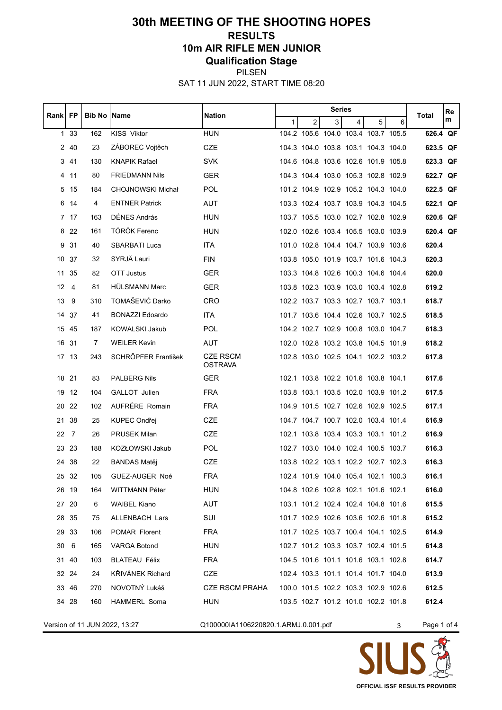## **30th MEETING OF THE SHOOTING HOPES RESULTS 10m AIR RIFLE MEN JUNIOR Qualification Stage**

PILSEN SAT 11 JUN 2022, START TIME 08:20

| Rankl | FP           | <b>Bib No   Name</b> |                        | <b>Nation</b>              | Series       |                                     |   |   |   |   | Total    | Re |
|-------|--------------|----------------------|------------------------|----------------------------|--------------|-------------------------------------|---|---|---|---|----------|----|
|       |              |                      |                        |                            | $\mathbf{1}$ | $\overline{2}$                      | 3 | 4 | 5 | 6 |          | m  |
|       | 1 33         | 162                  | <b>KISS Viktor</b>     | <b>HUN</b>                 |              | 104.2 105.6 104.0 103.4 103.7 105.5 |   |   |   |   | 626.4 QF |    |
|       | 2 40         | 23                   | ZÁBOREC Vojtěch        | <b>CZE</b>                 |              | 104.3 104.0 103.8 103.1 104.3 104.0 |   |   |   |   | 623.5 QF |    |
|       | 3 41         | 130                  | <b>KNAPIK Rafael</b>   | <b>SVK</b>                 |              | 104.6 104.8 103.6 102.6 101.9 105.8 |   |   |   |   | 623.3 QF |    |
|       | 4 11         | 80                   | <b>FRIEDMANN Nils</b>  | <b>GER</b>                 |              | 104.3 104.4 103.0 105.3 102.8 102.9 |   |   |   |   | 622.7 QF |    |
| 5     | 15           | 184                  | CHOJNOWSKI Michał      | POL.                       |              | 101.2 104.9 102.9 105.2 104.3 104.0 |   |   |   |   | 622.5 QF |    |
| 6     | 14           | 4                    | <b>ENTNER Patrick</b>  | AUT                        |              | 103.3 102.4 103.7 103.9 104.3 104.5 |   |   |   |   | 622.1 QF |    |
|       | 7 17         | 163                  | DÉNES András           | HUN                        |              | 103.7 105.5 103.0 102.7 102.8 102.9 |   |   |   |   | 620.6 QF |    |
|       | 8 2 2        | 161                  | TÖRÖK Ferenc           | HUN                        |              | 102.0 102.6 103.4 105.5 103.0 103.9 |   |   |   |   | 620.4 QF |    |
| 9     | -31          | 40                   | <b>SBARBATI Luca</b>   | ITA.                       |              | 101.0 102.8 104.4 104.7 103.9 103.6 |   |   |   |   | 620.4    |    |
|       | 10 37        | 32                   | SYRJÄ Lauri            | <b>FIN</b>                 |              | 103.8 105.0 101.9 103.7 101.6 104.3 |   |   |   |   | 620.3    |    |
|       | 11 35        | 82                   | OTT Justus             | <b>GER</b>                 |              | 103.3 104.8 102.6 100.3 104.6 104.4 |   |   |   |   | 620.0    |    |
|       | $12 \quad 4$ | 81                   | HÜLSMANN Marc          | <b>GER</b>                 |              | 103.8 102.3 103.9 103.0 103.4 102.8 |   |   |   |   | 619.2    |    |
| 13    | 9            | 310                  | TOMAŠEVIĆ Darko        | CRO                        |              | 102.2 103.7 103.3 102.7 103.7 103.1 |   |   |   |   | 618.7    |    |
|       | 14 37        | 41                   | <b>BONAZZI Edoardo</b> | ITA.                       |              | 101.7 103.6 104.4 102.6 103.7 102.5 |   |   |   |   | 618.5    |    |
|       | 15 45        | 187                  | <b>KOWALSKI Jakub</b>  | POL                        |              | 104.2 102.7 102.9 100.8 103.0 104.7 |   |   |   |   | 618.3    |    |
|       | 16 31        | 7                    | <b>WEILER Kevin</b>    | AUT                        |              | 102.0 102.8 103.2 103.8 104.5 101.9 |   |   |   |   | 618.2    |    |
|       | 17 13        | 243                  | SCHRÖPFER František    | CZE RSCM<br><b>OSTRAVA</b> |              | 102.8 103.0 102.5 104.1 102.2 103.2 |   |   |   |   | 617.8    |    |
|       | 18 21        | 83                   | <b>PALBERG Nils</b>    | <b>GER</b>                 |              | 102.1 103.8 102.2 101.6 103.8 104.1 |   |   |   |   | 617.6    |    |
|       | 19 12        | 104                  | GALLOT Julien          | FRA                        |              | 103.8 103.1 103.5 102.0 103.9 101.2 |   |   |   |   | 617.5    |    |
|       | 20 22        | 102                  | AUFRÉRE Romain         | FRA                        |              | 104.9 101.5 102.7 102.6 102.9 102.5 |   |   |   |   | 617.1    |    |
|       | 21 38        | 25                   | KUPEC Ondřej           | CZE                        |              | 104.7 104.7 100.7 102.0 103.4 101.4 |   |   |   |   | 616.9    |    |
|       | 22 7         | 26                   | <b>PRUSEK Milan</b>    | CZE                        |              | 102.1 103.8 103.4 103.3 103.1 101.2 |   |   |   |   | 616.9    |    |
|       | 23 23        | 188                  | KOZŁOWSKI Jakub        | POL                        |              | 102.7 103.0 104.0 102.4 100.5 103.7 |   |   |   |   | 616.3    |    |
|       | 24 38        | 22                   | BANDAS Matěj           | CZE                        |              | 103.8 102.2 103.1 102.2 102.7 102.3 |   |   |   |   | 616.3    |    |
|       | 25 32        | 105                  | GUEZ-AUGER Noé         | <b>FRA</b>                 |              | 102.4 101.9 104.0 105.4 102.1 100.3 |   |   |   |   | 616.1    |    |
|       | 26 19        | 164                  | WITTMANN Péter         | HUN                        |              | 104.8 102.6 102.8 102.1 101.6 102.1 |   |   |   |   | 616.0    |    |
|       | 27 20        | 6                    | WAIBEL Kiano           | <b>AUT</b>                 |              | 103.1 101.2 102.4 102.4 104.8 101.6 |   |   |   |   | 615.5    |    |
|       | 28 35        | 75                   | <b>ALLENBACH Lars</b>  | SUI                        |              | 101.7 102.9 102.6 103.6 102.6 101.8 |   |   |   |   | 615.2    |    |
|       | 29 33        | 106                  | POMAR Florent          | <b>FRA</b>                 |              | 101.7 102.5 103.7 100.4 104.1 102.5 |   |   |   |   | 614.9    |    |
|       | 30 6         | 165                  | <b>VARGA Botond</b>    | <b>HUN</b>                 |              | 102.7 101.2 103.3 103.7 102.4 101.5 |   |   |   |   | 614.8    |    |
|       | 31 40        | 103                  | <b>BLATEAU Félix</b>   | FRA                        |              | 104.5 101.6 101.1 101.6 103.1 102.8 |   |   |   |   | 614.7    |    |
|       | 32 24        | 24                   | KŘIVÁNEK Richard       | CZE                        |              | 102.4 103.3 101.1 101.4 101.7 104.0 |   |   |   |   | 613.9    |    |
|       | 33 46        | 270                  | NOVOTNÝ Lukáš          | <b>CZE RSCM PRAHA</b>      |              | 100.0 101.5 102.2 103.3 102.9 102.6 |   |   |   |   | 612.5    |    |
|       | 34 28        | 160                  | HAMMERL Soma           | <b>HUN</b>                 |              | 103.5 102.7 101.2 101.0 102.2 101.8 |   |   |   |   | 612.4    |    |
|       |              |                      |                        |                            |              |                                     |   |   |   |   |          |    |

Version of 11 JUN 2022, 13:27 Q100000IA1106220820.1.ARMJ.0.001.pdf 3 Page 1 of 4

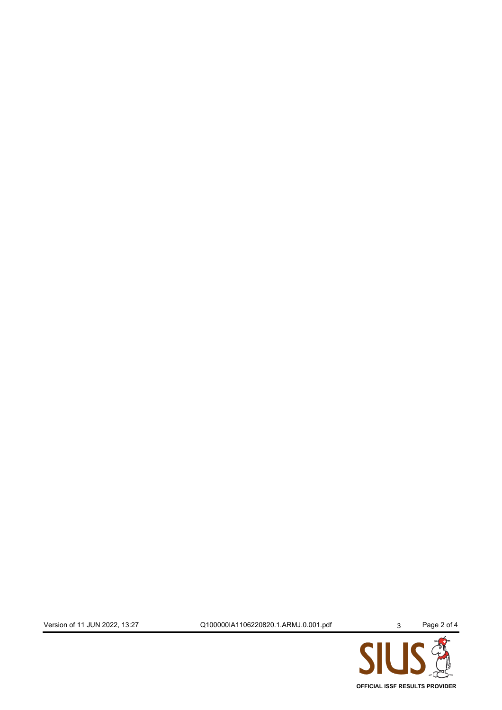

Version of 11 JUN 2022, 13:27 Q100000IA1106220820.1.ARMJ.0.001.pdf 3 Page 2 of 4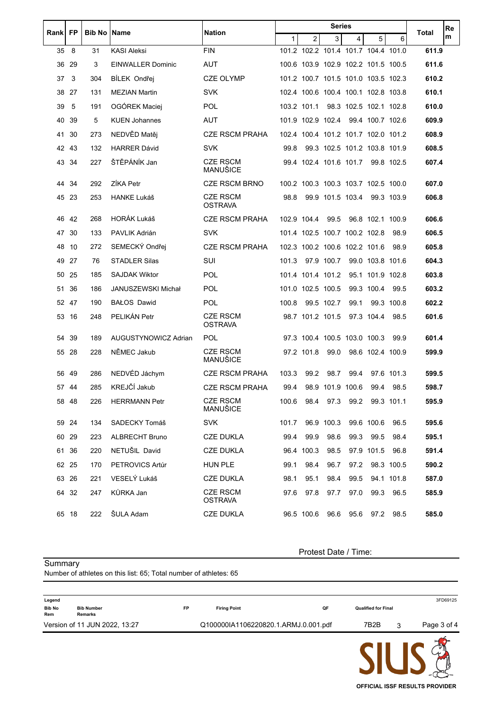| Rank | FP    | <b>Bib No   Name</b> | <b>Nation</b>             |                                    | <b>Series</b> |                                     |                  |      |                              |            | Total | Re |
|------|-------|----------------------|---------------------------|------------------------------------|---------------|-------------------------------------|------------------|------|------------------------------|------------|-------|----|
|      |       |                      |                           |                                    | $\mathbf{1}$  | 2                                   | 3                | 4    | 5                            | 6          |       | m  |
| 35   | 8     | 31                   | <b>KASI Aleksi</b>        | <b>FIN</b>                         |               | 101.2 102.2 101.4 101.7 104.4 101.0 |                  |      |                              |            | 611.9 |    |
| 36   | 29    | 3                    | <b>EINWALLER Dominic</b>  | <b>AUT</b>                         |               | 100.6 103.9 102.9 102.2 101.5 100.5 |                  |      |                              |            | 611.6 |    |
| 37   | 3     | 304                  | BÍLEK Ondřej              | <b>CZE OLYMP</b>                   |               | 101.2 100.7 101.5 101.0 103.5 102.3 |                  |      |                              |            | 610.2 |    |
| 38   | 27    | 131                  | <b>MEZIAN Martin</b>      | <b>SVK</b>                         |               | 102.4 100.6 100.4 100.1 102.8 103.8 |                  |      |                              |            | 610.1 |    |
| 39   | 5     | 191                  | OGÓREK Maciej             | POL                                |               | 103.2 101.1                         |                  |      | 98.3 102.5 102.1 102.8       |            | 610.0 |    |
| 40   | 39    | 5                    | <b>KUEN Johannes</b>      | AUT                                | 101.9         | 102.9 102.4 99.4 100.7 102.6        |                  |      |                              |            | 609.9 |    |
| 41   | 30    | 273                  | NEDVĚD Matěj              | <b>CZE RSCM PRAHA</b>              |               | 102.4 100.4 101.2 101.7 102.0 101.2 |                  |      |                              |            | 608.9 |    |
|      | 42 43 | 132                  | <b>HARRER Dávid</b>       | <b>SVK</b>                         | 99.8          |                                     |                  |      | 99.3 102.5 101.2 103.8 101.9 |            | 608.5 |    |
| 43   | 34    | 227                  | ŠTĚPÁNÍK Jan              | <b>CZE RSCM</b><br><b>MANUŠICE</b> |               | 99.4 102.4 101.6 101.7 99.8 102.5   |                  |      |                              |            | 607.4 |    |
| 44   | 34    | 292                  | ZÍKA Petr                 | <b>CZE RSCM BRNO</b>               |               | 100.2 100.3 100.3 103.7 102.5 100.0 |                  |      |                              |            | 607.0 |    |
|      | 45 23 | 253                  | <b>HANKE Lukáš</b>        | <b>CZE RSCM</b><br><b>OSTRAVA</b>  | 98.8          |                                     | 99.9 101.5 103.4 |      | 99.3 103.9                   |            | 606.8 |    |
|      | 46 42 | 268                  | <b>HORÁK Lukáš</b>        | <b>CZE RSCM PRAHA</b>              |               | 102.9 104.4                         | 99.5             |      | 96.8 102.1 100.9             |            | 606.6 |    |
| 47   | 30    | 133                  | <b>PAVLIK Adrián</b>      | <b>SVK</b>                         |               | 101.4 102.5 100.7 100.2 102.8       |                  |      |                              | 98.9       | 606.5 |    |
| 48   | 10    | 272                  | SEMECKÝ Ondřej            | <b>CZE RSCM PRAHA</b>              |               | 102.3 100.2 100.6 102.2 101.6       |                  |      |                              | 98.9       | 605.8 |    |
| 49   | 27    | 76                   | <b>STADLER Silas</b>      | SUI                                | 101.3         |                                     | 97.9 100.7       |      | 99.0 103.8 101.6             |            | 604.3 |    |
| 50   | 25    | 185                  | <b>SAJDAK Wiktor</b>      | POL                                |               | 101.4 101.4 101.2                   |                  |      | 95.1 101.9 102.8             |            | 603.8 |    |
| 51   | 36    | 186                  | <b>JANUSZEWSKI Michał</b> | POL                                |               | 101.0 102.5 100.5                   |                  |      | 99.3 100.4                   | 99.5       | 603.2 |    |
|      | 52 47 | 190                  | <b>BAŁOS Dawid</b>        | POL                                | 100.8         |                                     | 99.5 102.7       | 99.1 |                              | 99.3 100.8 | 602.2 |    |
| 53   | 16    | 248                  | PELIKÁN Petr              | <b>CZE RSCM</b><br><b>OSTRAVA</b>  |               | 98.7 101.2 101.5                    |                  |      | 97.3 104.4                   | 98.5       | 601.6 |    |
| 54   | 39    | 189                  | AUGUSTYNOWICZ Adrian      | POL                                |               | 97.3 100.4 100.5 103.0 100.3        |                  |      |                              | 99.9       | 601.4 |    |
| 55   | 28    | 228                  | NĚMEC Jakub               | <b>CZE RSCM</b><br><b>MANUŠICE</b> |               | 97.2 101.8                          | 99.0             |      | 98.6 102.4 100.9             |            | 599.9 |    |
| 56   | 49    | 286                  | NEDVÉD Jáchym             | <b>CZE RSCM PRAHA</b>              | 103.3         | 99.2                                | 98.7             | 99.4 |                              | 97.6 101.3 | 599.5 |    |
|      | 57 44 | 285                  | KREJČÍ Jakub              | <b>CZE RSCM PRAHA</b>              | 99.4          |                                     | 98.9 101.9 100.6 |      | 99.4                         | 98.5       | 598.7 |    |
|      | 58 48 | 226                  | <b>HERRMANN Petr</b>      | <b>CZE RSCM</b><br>MANUŠICE        | 100.6         | 98.4                                | 97.3             | 99.2 |                              | 99.3 101.1 | 595.9 |    |
|      | 59 24 | 134                  | SADECKY Tomáš             | <b>SVK</b>                         | 101.7         |                                     | 96.9 100.3       |      | 99.6 100.6                   | 96.5       | 595.6 |    |
|      | 60 29 | 223                  | <b>ALBRECHT Bruno</b>     | <b>CZE DUKLA</b>                   | 99.4          | 99.9                                | 98.6             | 99.3 | 99.5                         | 98.4       | 595.1 |    |
|      | 61 36 | 220                  | NETUŠIL David             | <b>CZE DUKLA</b>                   |               | 96.4 100.3                          | 98.5             |      | 97.9 101.5                   | 96.8       | 591.4 |    |
|      | 62 25 | 170                  | PETROVICS Artúr           | HUN PLE                            | 99.1          | 98.4                                | 96.7             | 97.2 |                              | 98.3 100.5 | 590.2 |    |
|      | 63 26 | 221                  | VESELÝ Lukáš              | <b>CZE DUKLA</b>                   | 98.1          | 95.1                                | 98.4             | 99.5 |                              | 94.1 101.8 | 587.0 |    |
|      | 64 32 | 247                  | KŮRKA Jan                 | <b>CZE RSCM</b><br><b>OSTRAVA</b>  | 97.6          | 97.8                                | 97.7             | 97.0 | 99.3                         | 96.5       | 585.9 |    |
|      | 65 18 | 222                  | ŠULA Adam                 | <b>CZE DUKLA</b>                   |               | 96.5 100.6                          | 96.6             | 95.6 |                              | 97.2 98.5  | 585.0 |    |

Protest Date / Time:

## **Summary** Number of athletes on this list: 65; Total number of athletes: 65 **Legend** 3FD69125 **Bib No Bib Number FP Firing Point QF Qualified for Final Rem Remarks** Version of 11 JUN 2022, 13:27 Q100000IA1106220820.1.ARMJ.0.001.pdf 7B2B 3 Page 3 of 4

**OFFICIAL ISSF RESULTS PROVIDER**